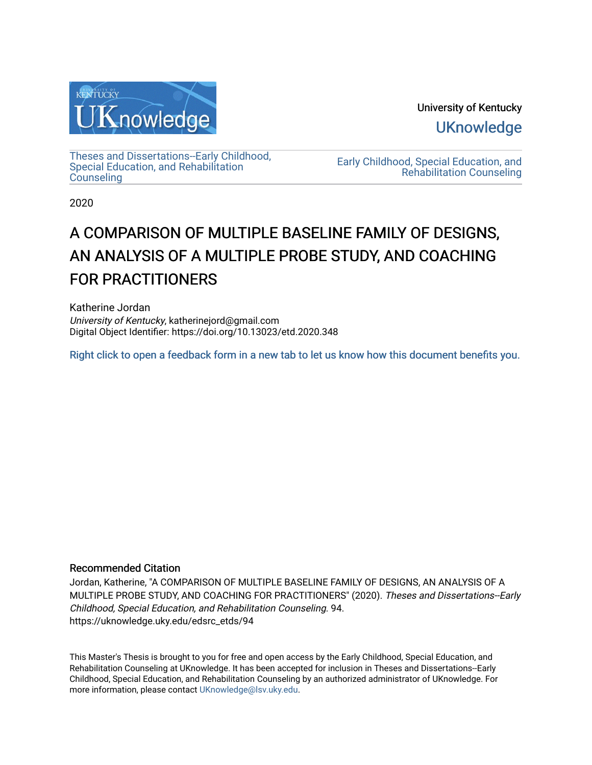

University of Kentucky **UKnowledge** 

[Theses and Dissertations--Early Childhood,](https://uknowledge.uky.edu/edsrc_etds)  [Special Education, and Rehabilitation](https://uknowledge.uky.edu/edsrc_etds)  **Counseling** 

[Early Childhood, Special Education, and](https://uknowledge.uky.edu/edsrc)  [Rehabilitation Counseling](https://uknowledge.uky.edu/edsrc) 

2020

# A COMPARISON OF MULTIPLE BASELINE FAMILY OF DESIGNS, AN ANALYSIS OF A MULTIPLE PROBE STUDY, AND COACHING FOR PRACTITIONERS

Katherine Jordan University of Kentucky, katherinejord@gmail.com Digital Object Identifier: https://doi.org/10.13023/etd.2020.348

[Right click to open a feedback form in a new tab to let us know how this document benefits you.](https://uky.az1.qualtrics.com/jfe/form/SV_9mq8fx2GnONRfz7)

## Recommended Citation

Jordan, Katherine, "A COMPARISON OF MULTIPLE BASELINE FAMILY OF DESIGNS, AN ANALYSIS OF A MULTIPLE PROBE STUDY, AND COACHING FOR PRACTITIONERS" (2020). Theses and Dissertations--Early Childhood, Special Education, and Rehabilitation Counseling. 94. https://uknowledge.uky.edu/edsrc\_etds/94

This Master's Thesis is brought to you for free and open access by the Early Childhood, Special Education, and Rehabilitation Counseling at UKnowledge. It has been accepted for inclusion in Theses and Dissertations--Early Childhood, Special Education, and Rehabilitation Counseling by an authorized administrator of UKnowledge. For more information, please contact [UKnowledge@lsv.uky.edu](mailto:UKnowledge@lsv.uky.edu).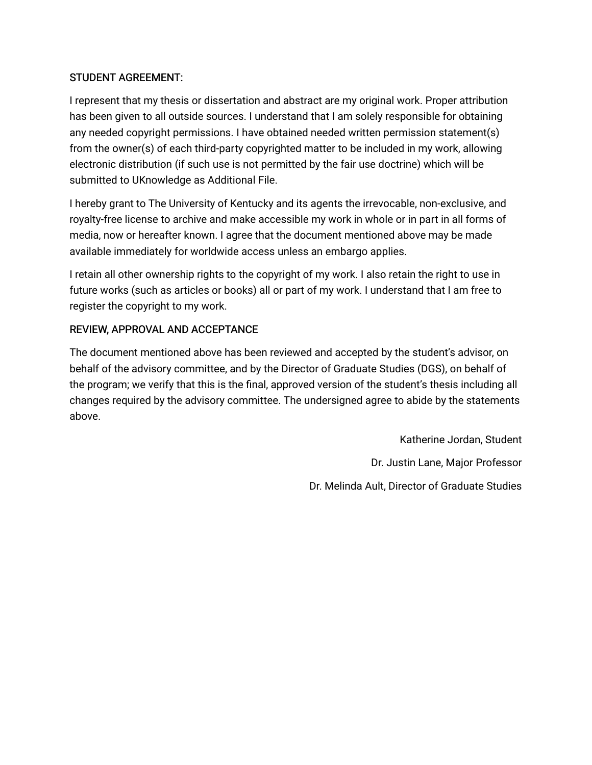## STUDENT AGREEMENT:

I represent that my thesis or dissertation and abstract are my original work. Proper attribution has been given to all outside sources. I understand that I am solely responsible for obtaining any needed copyright permissions. I have obtained needed written permission statement(s) from the owner(s) of each third-party copyrighted matter to be included in my work, allowing electronic distribution (if such use is not permitted by the fair use doctrine) which will be submitted to UKnowledge as Additional File.

I hereby grant to The University of Kentucky and its agents the irrevocable, non-exclusive, and royalty-free license to archive and make accessible my work in whole or in part in all forms of media, now or hereafter known. I agree that the document mentioned above may be made available immediately for worldwide access unless an embargo applies.

I retain all other ownership rights to the copyright of my work. I also retain the right to use in future works (such as articles or books) all or part of my work. I understand that I am free to register the copyright to my work.

## REVIEW, APPROVAL AND ACCEPTANCE

The document mentioned above has been reviewed and accepted by the student's advisor, on behalf of the advisory committee, and by the Director of Graduate Studies (DGS), on behalf of the program; we verify that this is the final, approved version of the student's thesis including all changes required by the advisory committee. The undersigned agree to abide by the statements above.

> Katherine Jordan, Student Dr. Justin Lane, Major Professor Dr. Melinda Ault, Director of Graduate Studies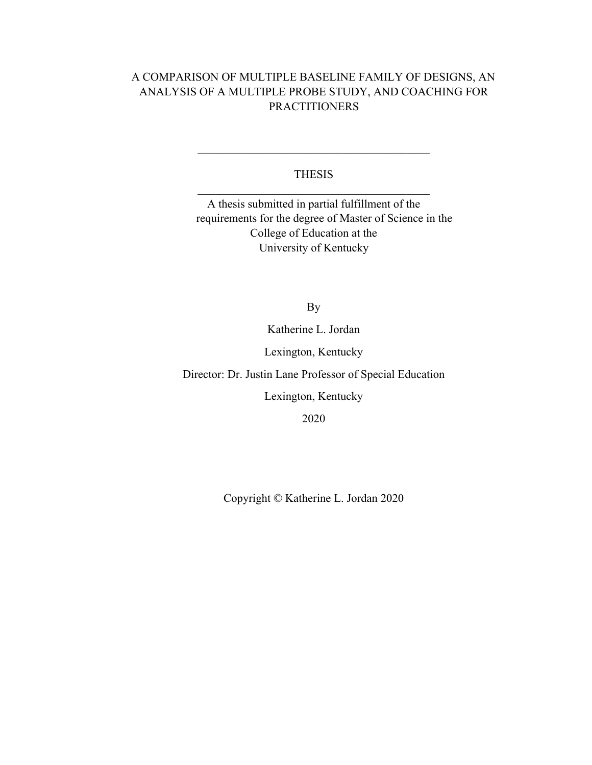## A COMPARISON OF MULTIPLE BASELINE FAMILY OF DESIGNS, AN ANALYSIS OF A MULTIPLE PROBE STUDY, AND COACHING FOR **PRACTITIONERS**

## THESIS

 $\mathcal{L}_\text{max}$  and  $\mathcal{L}_\text{max}$  and  $\mathcal{L}_\text{max}$  and  $\mathcal{L}_\text{max}$ 

A thesis submitted in partial fulfillment of the requirements for the degree of Master of Science in the College of Education at the University of Kentucky

By

Katherine L. Jordan

Lexington, Kentucky

Director: Dr. Justin Lane Professor of Special Education

Lexington, Kentucky

2020

Copyright © Katherine L. Jordan 2020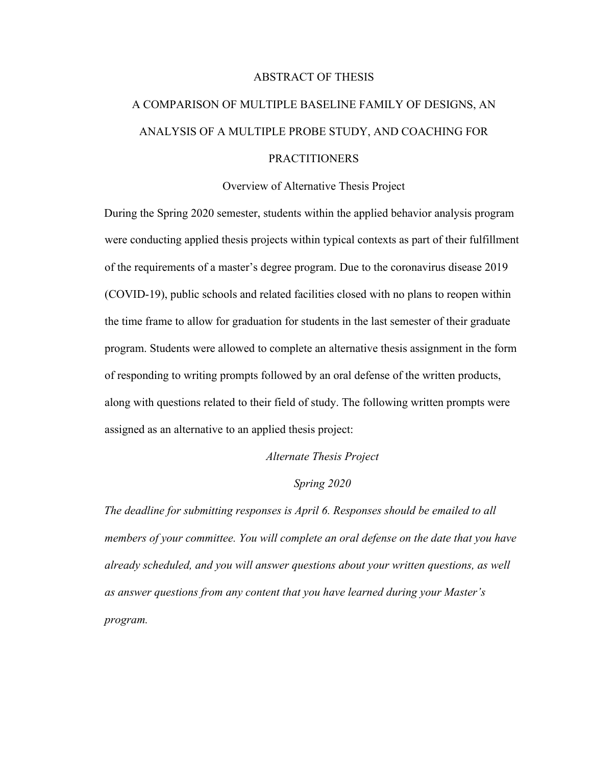## ABSTRACT OF THESIS

# A COMPARISON OF MULTIPLE BASELINE FAMILY OF DESIGNS, AN ANALYSIS OF A MULTIPLE PROBE STUDY, AND COACHING FOR PRACTITIONERS

## Overview of Alternative Thesis Project

During the Spring 2020 semester, students within the applied behavior analysis program were conducting applied thesis projects within typical contexts as part of their fulfillment of the requirements of a master's degree program. Due to the coronavirus disease 2019 (COVID-19), public schools and related facilities closed with no plans to reopen within the time frame to allow for graduation for students in the last semester of their graduate program. Students were allowed to complete an alternative thesis assignment in the form of responding to writing prompts followed by an oral defense of the written products, along with questions related to their field of study. The following written prompts were assigned as an alternative to an applied thesis project:

*Alternate Thesis Project*

## *Spring 2020*

*The deadline for submitting responses is April 6. Responses should be emailed to all members of your committee. You will complete an oral defense on the date that you have already scheduled, and you will answer questions about your written questions, as well as answer questions from any content that you have learned during your Master's program.*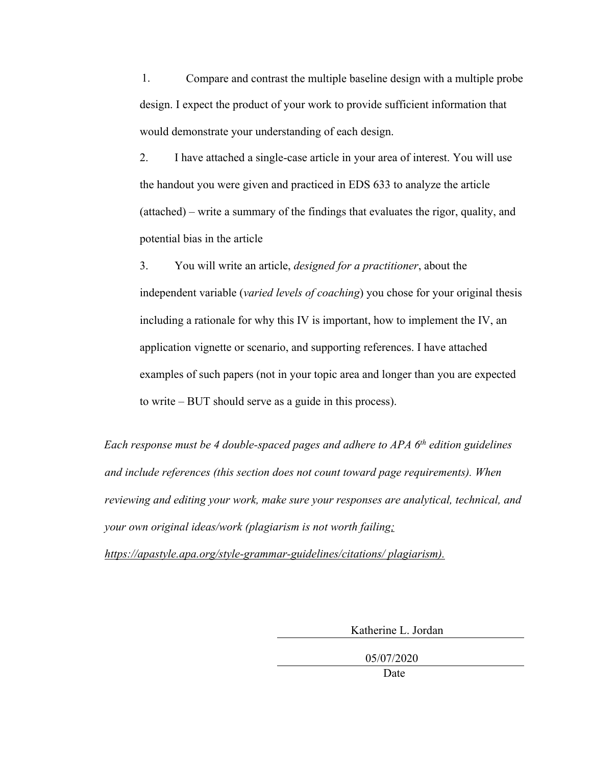1. Compare and contrast the multiple baseline design with a multiple probe design. I expect the product of your work to provide sufficient information that would demonstrate your understanding of each design.

2. I have attached a single-case article in your area of interest. You will use the handout you were given and practiced in EDS 633 to analyze the article (attached) – write a summary of the findings that evaluates the rigor, quality, and potential bias in the article

3. You will write an article, *designed for a practitioner*, about the independent variable (*varied levels of coaching*) you chose for your original thesis including a rationale for why this IV is important, how to implement the IV, an application vignette or scenario, and supporting references. I have attached examples of such papers (not in your topic area and longer than you are expected to write – BUT should serve as a guide in this process).

*Each response must be 4 double-spaced pages and adhere to APA 6th edition guidelines and include references (this section does not count toward page requirements). When reviewing and editing your work, make sure your responses are analytical, technical, and your own original ideas/work (plagiarism is not worth failing;* 

*https://apastyle.apa.org/style-grammar-guidelines/citations/ plagiarism).*

Katherine L. Jordan

05/07/2020

Date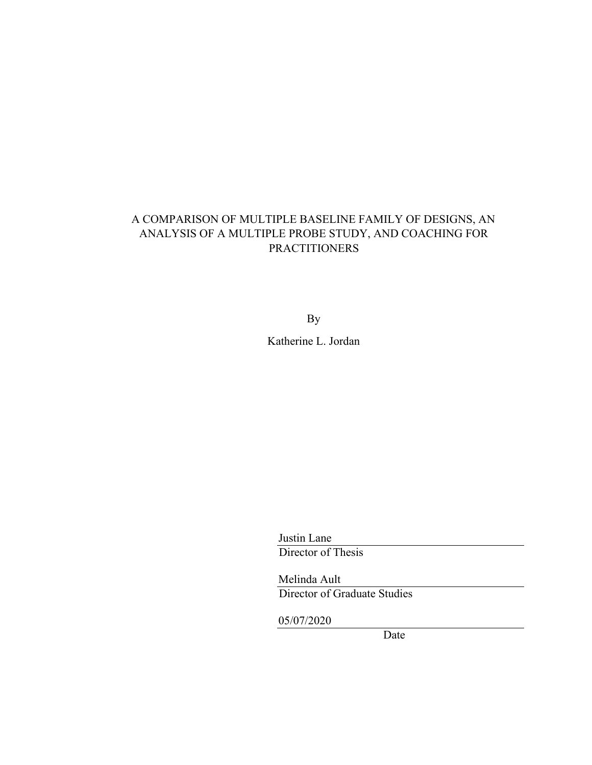## A COMPARISON OF MULTIPLE BASELINE FAMILY OF DESIGNS, AN ANALYSIS OF A MULTIPLE PROBE STUDY, AND COACHING FOR PRACTITIONERS

By

Katherine L. Jordan

Justin Lane Director of Thesis

Melinda Ault Director of Graduate Studies

05/07/2020

Date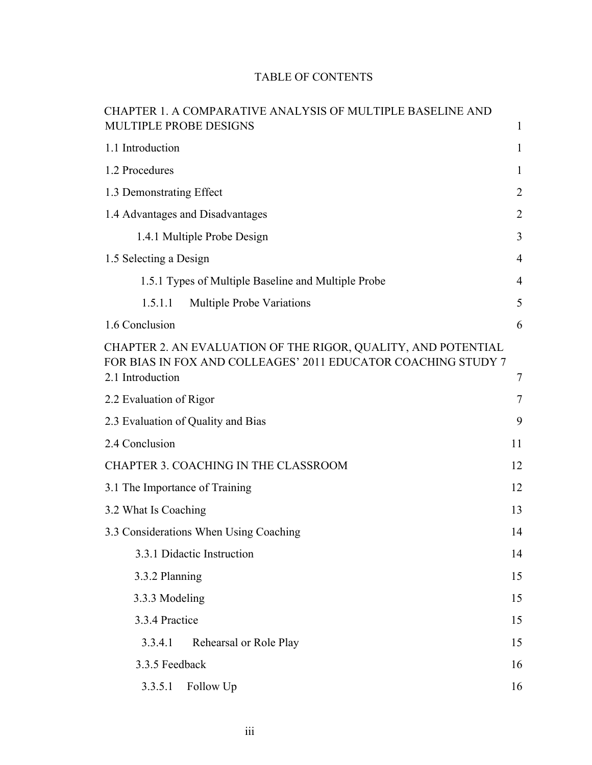|  | <b>TABLE OF CONTENTS</b> |
|--|--------------------------|
|--|--------------------------|

| CHAPTER 1. A COMPARATIVE ANALYSIS OF MULTIPLE BASELINE AND                                                                                         |                |
|----------------------------------------------------------------------------------------------------------------------------------------------------|----------------|
| MULTIPLE PROBE DESIGNS                                                                                                                             | 1              |
| 1.1 Introduction                                                                                                                                   | 1              |
| 1.2 Procedures                                                                                                                                     | 1              |
| 1.3 Demonstrating Effect                                                                                                                           | $\overline{2}$ |
| 1.4 Advantages and Disadvantages                                                                                                                   | $\overline{2}$ |
| 1.4.1 Multiple Probe Design                                                                                                                        | 3              |
| 1.5 Selecting a Design                                                                                                                             | 4              |
| 1.5.1 Types of Multiple Baseline and Multiple Probe                                                                                                | $\overline{4}$ |
| Multiple Probe Variations<br>1.5.1.1                                                                                                               | 5              |
| 1.6 Conclusion                                                                                                                                     | 6              |
| CHAPTER 2. AN EVALUATION OF THE RIGOR, QUALITY, AND POTENTIAL<br>FOR BIAS IN FOX AND COLLEAGES' 2011 EDUCATOR COACHING STUDY 7<br>2.1 Introduction | 7              |
| 2.2 Evaluation of Rigor                                                                                                                            | $\tau$         |
| 2.3 Evaluation of Quality and Bias                                                                                                                 | 9              |
| 2.4 Conclusion                                                                                                                                     | 11             |
| CHAPTER 3. COACHING IN THE CLASSROOM                                                                                                               | 12             |
| 3.1 The Importance of Training                                                                                                                     | 12             |
| 3.2 What Is Coaching                                                                                                                               | 13             |
| 3.3 Considerations When Using Coaching                                                                                                             | 14             |
| 3.3.1 Didactic Instruction                                                                                                                         | 14             |
| 3.3.2 Planning                                                                                                                                     | 15             |
| 3.3.3 Modeling                                                                                                                                     | 15             |
| 3.3.4 Practice                                                                                                                                     | 15             |
| 3.3.4.1<br>Rehearsal or Role Play                                                                                                                  | 15             |
| 3.3.5 Feedback                                                                                                                                     | 16             |
| 3.3.5.1<br>Follow Up                                                                                                                               | 16             |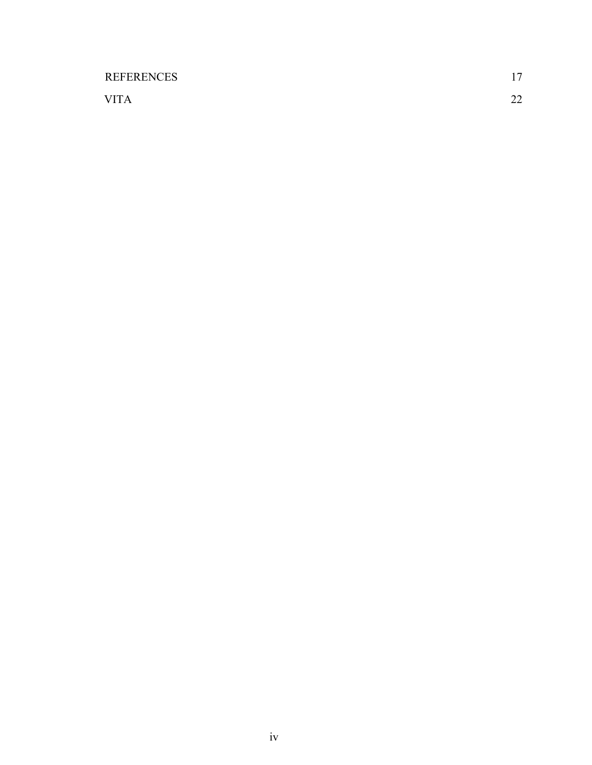| <b>REFERENCES</b> | 17       |
|-------------------|----------|
| <b>VITA</b>       | າາ<br>∠∠ |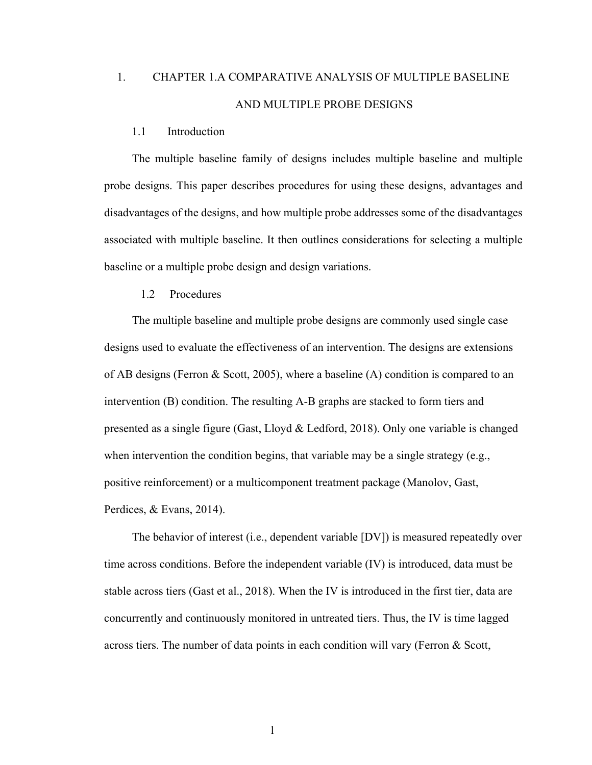## 1. CHAPTER 1.A COMPARATIVE ANALYSIS OF MULTIPLE BASELINE AND MULTIPLE PROBE DESIGNS

#### 1.1 Introduction

The multiple baseline family of designs includes multiple baseline and multiple probe designs. This paper describes procedures for using these designs, advantages and disadvantages of the designs, and how multiple probe addresses some of the disadvantages associated with multiple baseline. It then outlines considerations for selecting a multiple baseline or a multiple probe design and design variations.

## 1.2 Procedures

The multiple baseline and multiple probe designs are commonly used single case designs used to evaluate the effectiveness of an intervention. The designs are extensions of AB designs (Ferron & Scott, 2005), where a baseline (A) condition is compared to an intervention (B) condition. The resulting A-B graphs are stacked to form tiers and presented as a single figure (Gast, Lloyd & Ledford, 2018). Only one variable is changed when intervention the condition begins, that variable may be a single strategy (e.g., positive reinforcement) or a multicomponent treatment package (Manolov, Gast, Perdices, & Evans, 2014).

The behavior of interest (i.e., dependent variable [DV]) is measured repeatedly over time across conditions. Before the independent variable (IV) is introduced, data must be stable across tiers (Gast et al., 2018). When the IV is introduced in the first tier, data are concurrently and continuously monitored in untreated tiers. Thus, the IV is time lagged across tiers. The number of data points in each condition will vary (Ferron & Scott,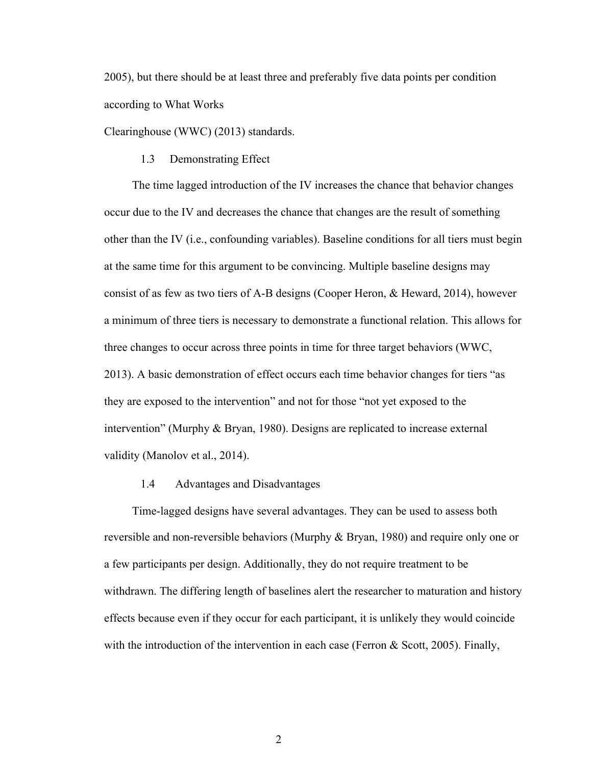2005), but there should be at least three and preferably five data points per condition according to What Works

Clearinghouse (WWC) (2013) standards.

## 1.3 Demonstrating Effect

The time lagged introduction of the IV increases the chance that behavior changes occur due to the IV and decreases the chance that changes are the result of something other than the IV (i.e., confounding variables). Baseline conditions for all tiers must begin at the same time for this argument to be convincing. Multiple baseline designs may consist of as few as two tiers of A-B designs (Cooper Heron, & Heward, 2014), however a minimum of three tiers is necessary to demonstrate a functional relation. This allows for three changes to occur across three points in time for three target behaviors (WWC, 2013). A basic demonstration of effect occurs each time behavior changes for tiers "as they are exposed to the intervention" and not for those "not yet exposed to the intervention" (Murphy & Bryan, 1980). Designs are replicated to increase external validity (Manolov et al., 2014).

## 1.4 Advantages and Disadvantages

Time-lagged designs have several advantages. They can be used to assess both reversible and non-reversible behaviors (Murphy & Bryan, 1980) and require only one or a few participants per design. Additionally, they do not require treatment to be withdrawn. The differing length of baselines alert the researcher to maturation and history effects because even if they occur for each participant, it is unlikely they would coincide with the introduction of the intervention in each case (Ferron  $&$  Scott, 2005). Finally,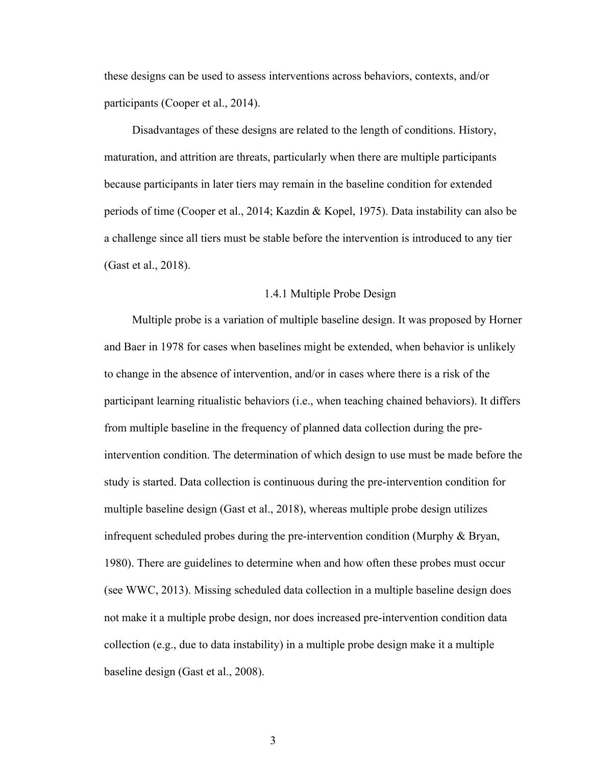these designs can be used to assess interventions across behaviors, contexts, and/or participants (Cooper et al., 2014).

Disadvantages of these designs are related to the length of conditions. History, maturation, and attrition are threats, particularly when there are multiple participants because participants in later tiers may remain in the baseline condition for extended periods of time (Cooper et al., 2014; Kazdin & Kopel, 1975). Data instability can also be a challenge since all tiers must be stable before the intervention is introduced to any tier (Gast et al., 2018).

## 1.4.1 Multiple Probe Design

Multiple probe is a variation of multiple baseline design. It was proposed by Horner and Baer in 1978 for cases when baselines might be extended, when behavior is unlikely to change in the absence of intervention, and/or in cases where there is a risk of the participant learning ritualistic behaviors (i.e., when teaching chained behaviors). It differs from multiple baseline in the frequency of planned data collection during the preintervention condition. The determination of which design to use must be made before the study is started. Data collection is continuous during the pre-intervention condition for multiple baseline design (Gast et al., 2018), whereas multiple probe design utilizes infrequent scheduled probes during the pre-intervention condition (Murphy & Bryan, 1980). There are guidelines to determine when and how often these probes must occur (see WWC, 2013). Missing scheduled data collection in a multiple baseline design does not make it a multiple probe design, nor does increased pre-intervention condition data collection (e.g., due to data instability) in a multiple probe design make it a multiple baseline design (Gast et al., 2008).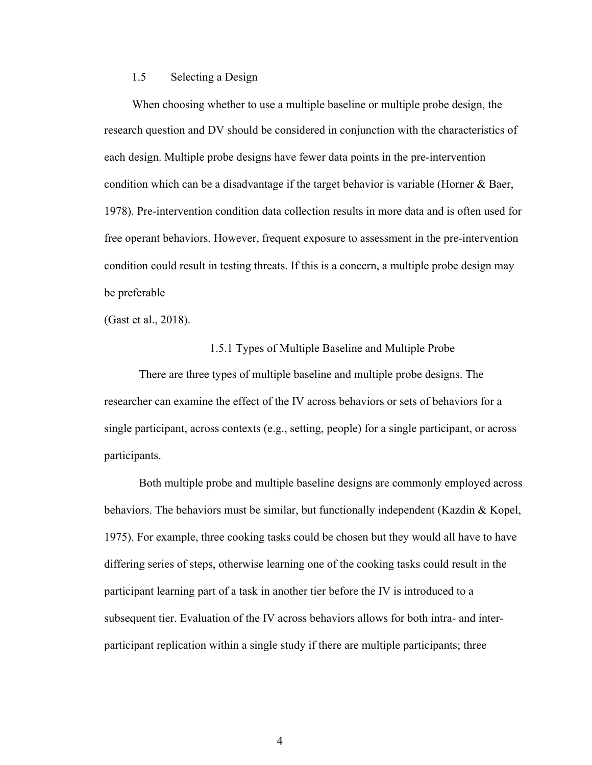## 1.5 Selecting a Design

When choosing whether to use a multiple baseline or multiple probe design, the research question and DV should be considered in conjunction with the characteristics of each design. Multiple probe designs have fewer data points in the pre-intervention condition which can be a disadvantage if the target behavior is variable (Horner & Baer, 1978). Pre-intervention condition data collection results in more data and is often used for free operant behaviors. However, frequent exposure to assessment in the pre-intervention condition could result in testing threats. If this is a concern, a multiple probe design may be preferable

(Gast et al., 2018).

#### 1.5.1 Types of Multiple Baseline and Multiple Probe

There are three types of multiple baseline and multiple probe designs. The researcher can examine the effect of the IV across behaviors or sets of behaviors for a single participant, across contexts (e.g., setting, people) for a single participant, or across participants.

Both multiple probe and multiple baseline designs are commonly employed across behaviors. The behaviors must be similar, but functionally independent (Kazdin & Kopel, 1975). For example, three cooking tasks could be chosen but they would all have to have differing series of steps, otherwise learning one of the cooking tasks could result in the participant learning part of a task in another tier before the IV is introduced to a subsequent tier. Evaluation of the IV across behaviors allows for both intra- and interparticipant replication within a single study if there are multiple participants; three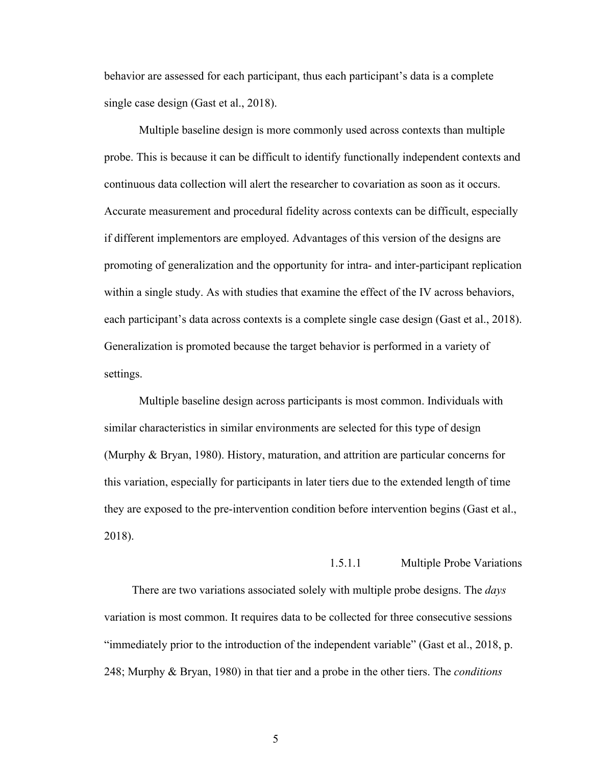behavior are assessed for each participant, thus each participant's data is a complete single case design (Gast et al., 2018).

Multiple baseline design is more commonly used across contexts than multiple probe. This is because it can be difficult to identify functionally independent contexts and continuous data collection will alert the researcher to covariation as soon as it occurs. Accurate measurement and procedural fidelity across contexts can be difficult, especially if different implementors are employed. Advantages of this version of the designs are promoting of generalization and the opportunity for intra- and inter-participant replication within a single study. As with studies that examine the effect of the IV across behaviors, each participant's data across contexts is a complete single case design (Gast et al., 2018). Generalization is promoted because the target behavior is performed in a variety of settings.

Multiple baseline design across participants is most common. Individuals with similar characteristics in similar environments are selected for this type of design (Murphy & Bryan, 1980). History, maturation, and attrition are particular concerns for this variation, especially for participants in later tiers due to the extended length of time they are exposed to the pre-intervention condition before intervention begins (Gast et al., 2018).

## 1.5.1.1 Multiple Probe Variations

There are two variations associated solely with multiple probe designs. The *days*  variation is most common. It requires data to be collected for three consecutive sessions "immediately prior to the introduction of the independent variable" (Gast et al., 2018, p. 248; Murphy & Bryan, 1980) in that tier and a probe in the other tiers. The *conditions*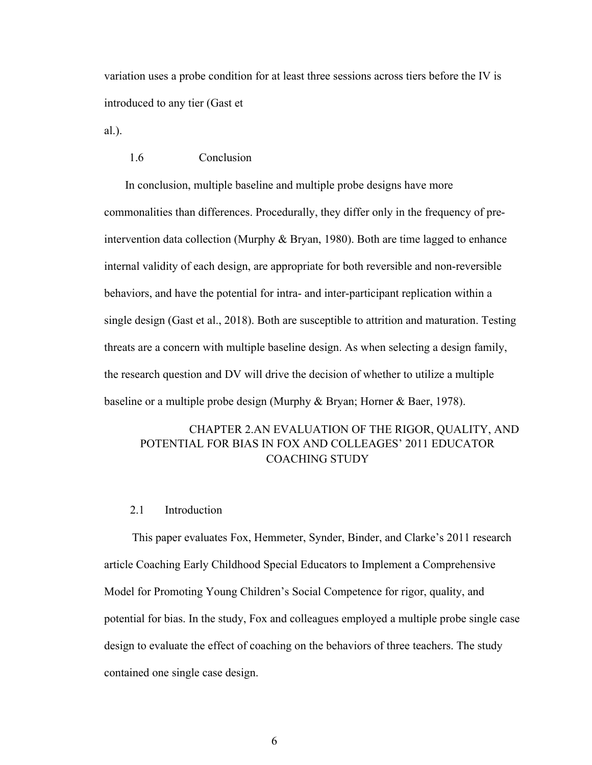variation uses a probe condition for at least three sessions across tiers before the IV is introduced to any tier (Gast et

al.).

## 1.6 Conclusion

In conclusion, multiple baseline and multiple probe designs have more commonalities than differences. Procedurally, they differ only in the frequency of preintervention data collection (Murphy & Bryan, 1980). Both are time lagged to enhance internal validity of each design, are appropriate for both reversible and non-reversible behaviors, and have the potential for intra- and inter-participant replication within a single design (Gast et al., 2018). Both are susceptible to attrition and maturation. Testing threats are a concern with multiple baseline design. As when selecting a design family, the research question and DV will drive the decision of whether to utilize a multiple baseline or a multiple probe design (Murphy & Bryan; Horner & Baer, 1978).

## CHAPTER 2.AN EVALUATION OF THE RIGOR, QUALITY, AND POTENTIAL FOR BIAS IN FOX AND COLLEAGES' 2011 EDUCATOR COACHING STUDY

## 2.1 Introduction

This paper evaluates Fox, Hemmeter, Synder, Binder, and Clarke's 2011 research article Coaching Early Childhood Special Educators to Implement a Comprehensive Model for Promoting Young Children's Social Competence for rigor, quality, and potential for bias. In the study, Fox and colleagues employed a multiple probe single case design to evaluate the effect of coaching on the behaviors of three teachers. The study contained one single case design.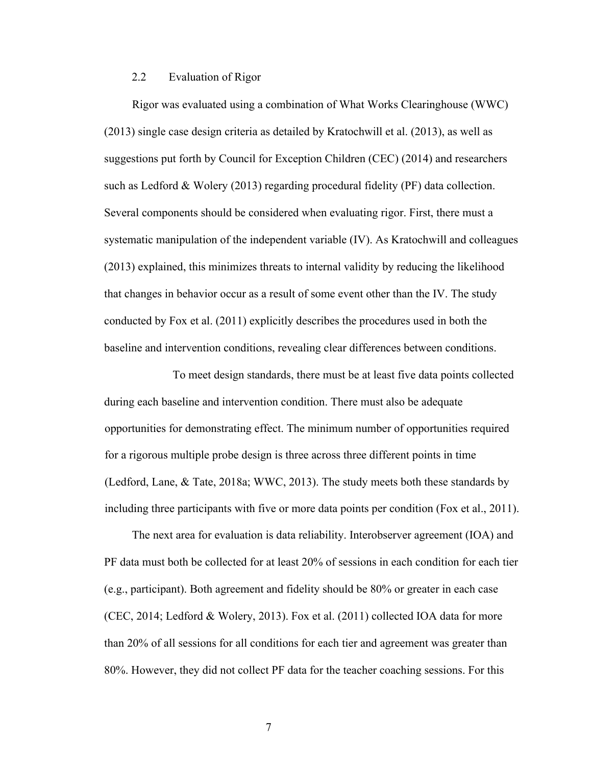## 2.2 Evaluation of Rigor

Rigor was evaluated using a combination of What Works Clearinghouse (WWC) (2013) single case design criteria as detailed by Kratochwill et al. (2013), as well as suggestions put forth by Council for Exception Children (CEC) (2014) and researchers such as Ledford & Wolery (2013) regarding procedural fidelity (PF) data collection. Several components should be considered when evaluating rigor. First, there must a systematic manipulation of the independent variable (IV). As Kratochwill and colleagues (2013) explained, this minimizes threats to internal validity by reducing the likelihood that changes in behavior occur as a result of some event other than the IV. The study conducted by Fox et al. (2011) explicitly describes the procedures used in both the baseline and intervention conditions, revealing clear differences between conditions.

To meet design standards, there must be at least five data points collected during each baseline and intervention condition. There must also be adequate opportunities for demonstrating effect. The minimum number of opportunities required for a rigorous multiple probe design is three across three different points in time (Ledford, Lane, & Tate, 2018a; WWC, 2013). The study meets both these standards by including three participants with five or more data points per condition (Fox et al., 2011).

The next area for evaluation is data reliability. Interobserver agreement (IOA) and PF data must both be collected for at least 20% of sessions in each condition for each tier (e.g., participant). Both agreement and fidelity should be 80% or greater in each case (CEC, 2014; Ledford & Wolery, 2013). Fox et al. (2011) collected IOA data for more than 20% of all sessions for all conditions for each tier and agreement was greater than 80%. However, they did not collect PF data for the teacher coaching sessions. For this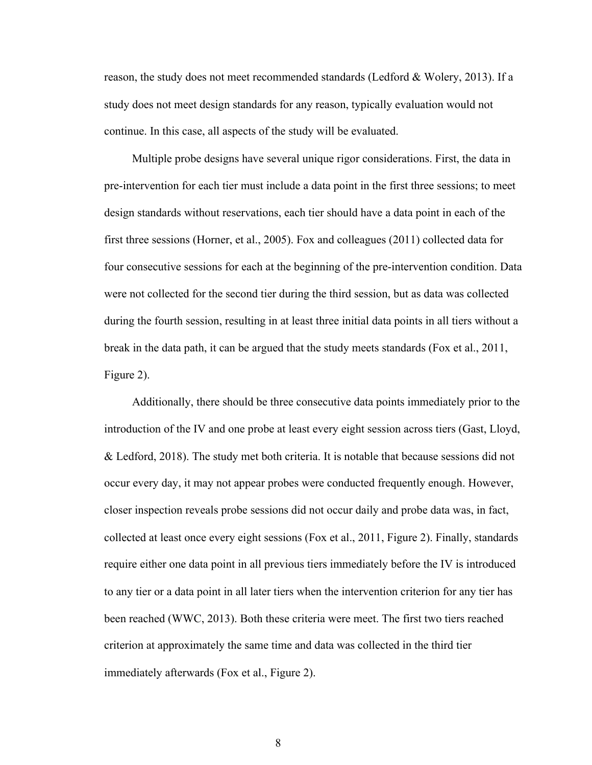reason, the study does not meet recommended standards (Ledford & Wolery, 2013). If a study does not meet design standards for any reason, typically evaluation would not continue. In this case, all aspects of the study will be evaluated.

Multiple probe designs have several unique rigor considerations. First, the data in pre-intervention for each tier must include a data point in the first three sessions; to meet design standards without reservations, each tier should have a data point in each of the first three sessions (Horner, et al., 2005). Fox and colleagues (2011) collected data for four consecutive sessions for each at the beginning of the pre-intervention condition. Data were not collected for the second tier during the third session, but as data was collected during the fourth session, resulting in at least three initial data points in all tiers without a break in the data path, it can be argued that the study meets standards (Fox et al., 2011, Figure 2).

Additionally, there should be three consecutive data points immediately prior to the introduction of the IV and one probe at least every eight session across tiers (Gast, Lloyd, & Ledford, 2018). The study met both criteria. It is notable that because sessions did not occur every day, it may not appear probes were conducted frequently enough. However, closer inspection reveals probe sessions did not occur daily and probe data was, in fact, collected at least once every eight sessions (Fox et al., 2011, Figure 2). Finally, standards require either one data point in all previous tiers immediately before the IV is introduced to any tier or a data point in all later tiers when the intervention criterion for any tier has been reached (WWC, 2013). Both these criteria were meet. The first two tiers reached criterion at approximately the same time and data was collected in the third tier immediately afterwards (Fox et al., Figure 2).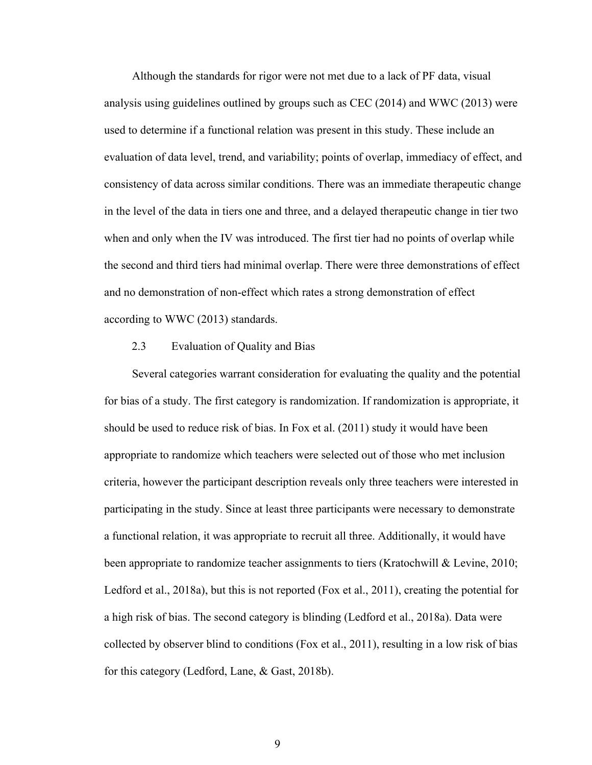Although the standards for rigor were not met due to a lack of PF data, visual analysis using guidelines outlined by groups such as CEC (2014) and WWC (2013) were used to determine if a functional relation was present in this study. These include an evaluation of data level, trend, and variability; points of overlap, immediacy of effect, and consistency of data across similar conditions. There was an immediate therapeutic change in the level of the data in tiers one and three, and a delayed therapeutic change in tier two when and only when the IV was introduced. The first tier had no points of overlap while the second and third tiers had minimal overlap. There were three demonstrations of effect and no demonstration of non-effect which rates a strong demonstration of effect according to WWC (2013) standards.

## 2.3 Evaluation of Quality and Bias

Several categories warrant consideration for evaluating the quality and the potential for bias of a study. The first category is randomization. If randomization is appropriate, it should be used to reduce risk of bias. In Fox et al. (2011) study it would have been appropriate to randomize which teachers were selected out of those who met inclusion criteria, however the participant description reveals only three teachers were interested in participating in the study. Since at least three participants were necessary to demonstrate a functional relation, it was appropriate to recruit all three. Additionally, it would have been appropriate to randomize teacher assignments to tiers (Kratochwill & Levine, 2010; Ledford et al., 2018a), but this is not reported (Fox et al., 2011), creating the potential for a high risk of bias. The second category is blinding (Ledford et al., 2018a). Data were collected by observer blind to conditions (Fox et al., 2011), resulting in a low risk of bias for this category (Ledford, Lane, & Gast, 2018b).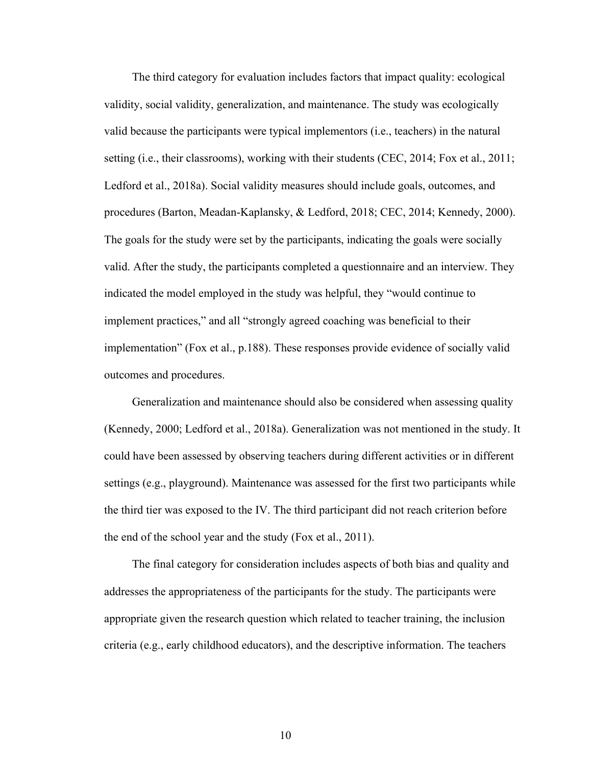The third category for evaluation includes factors that impact quality: ecological validity, social validity, generalization, and maintenance. The study was ecologically valid because the participants were typical implementors (i.e., teachers) in the natural setting (i.e., their classrooms), working with their students (CEC, 2014; Fox et al., 2011; Ledford et al., 2018a). Social validity measures should include goals, outcomes, and procedures (Barton, Meadan-Kaplansky, & Ledford, 2018; CEC, 2014; Kennedy, 2000). The goals for the study were set by the participants, indicating the goals were socially valid. After the study, the participants completed a questionnaire and an interview. They indicated the model employed in the study was helpful, they "would continue to implement practices," and all "strongly agreed coaching was beneficial to their implementation" (Fox et al., p.188). These responses provide evidence of socially valid outcomes and procedures.

Generalization and maintenance should also be considered when assessing quality (Kennedy, 2000; Ledford et al., 2018a). Generalization was not mentioned in the study. It could have been assessed by observing teachers during different activities or in different settings (e.g., playground). Maintenance was assessed for the first two participants while the third tier was exposed to the IV. The third participant did not reach criterion before the end of the school year and the study (Fox et al., 2011).

The final category for consideration includes aspects of both bias and quality and addresses the appropriateness of the participants for the study. The participants were appropriate given the research question which related to teacher training, the inclusion criteria (e.g., early childhood educators), and the descriptive information. The teachers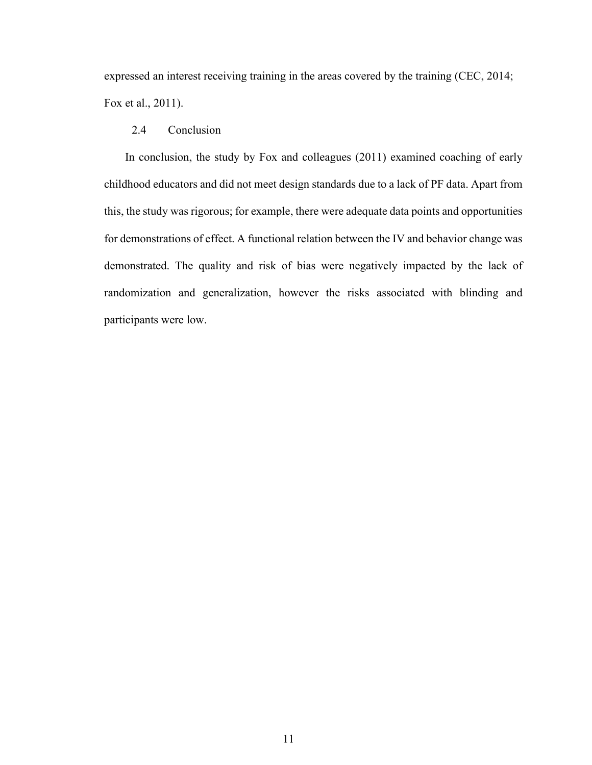expressed an interest receiving training in the areas covered by the training (CEC, 2014; Fox et al., 2011).

## 2.4 Conclusion

In conclusion, the study by Fox and colleagues (2011) examined coaching of early childhood educators and did not meet design standards due to a lack of PF data. Apart from this, the study was rigorous; for example, there were adequate data points and opportunities for demonstrations of effect. A functional relation between the IV and behavior change was demonstrated. The quality and risk of bias were negatively impacted by the lack of randomization and generalization, however the risks associated with blinding and participants were low.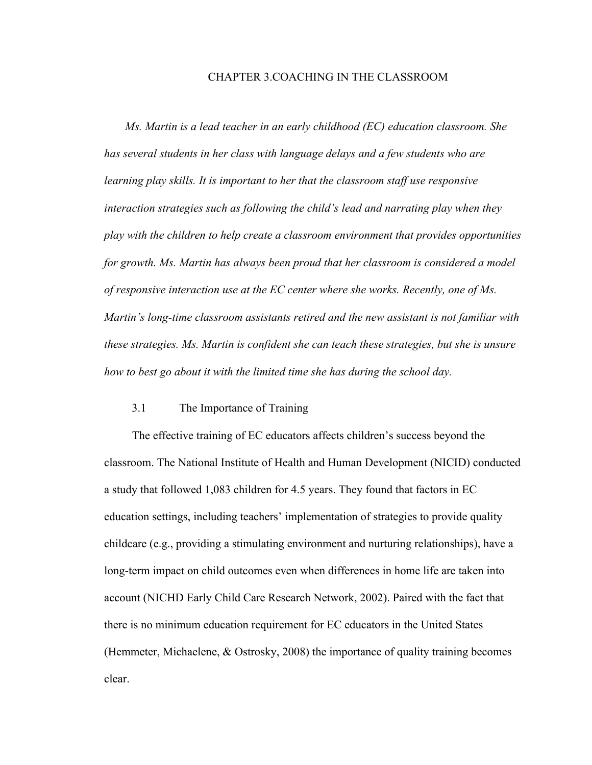#### CHAPTER 3.COACHING IN THE CLASSROOM

*Ms. Martin is a lead teacher in an early childhood (EC) education classroom. She has several students in her class with language delays and a few students who are learning play skills. It is important to her that the classroom staff use responsive interaction strategies such as following the child's lead and narrating play when they play with the children to help create a classroom environment that provides opportunities for growth. Ms. Martin has always been proud that her classroom is considered a model of responsive interaction use at the EC center where she works. Recently, one of Ms. Martin's long-time classroom assistants retired and the new assistant is not familiar with these strategies. Ms. Martin is confident she can teach these strategies, but she is unsure how to best go about it with the limited time she has during the school day.*

## 3.1 The Importance of Training

The effective training of EC educators affects children's success beyond the classroom. The National Institute of Health and Human Development (NICID) conducted a study that followed 1,083 children for 4.5 years. They found that factors in EC education settings, including teachers' implementation of strategies to provide quality childcare (e.g., providing a stimulating environment and nurturing relationships), have a long-term impact on child outcomes even when differences in home life are taken into account (NICHD Early Child Care Research Network, 2002). Paired with the fact that there is no minimum education requirement for EC educators in the United States (Hemmeter, Michaelene, & Ostrosky, 2008) the importance of quality training becomes clear.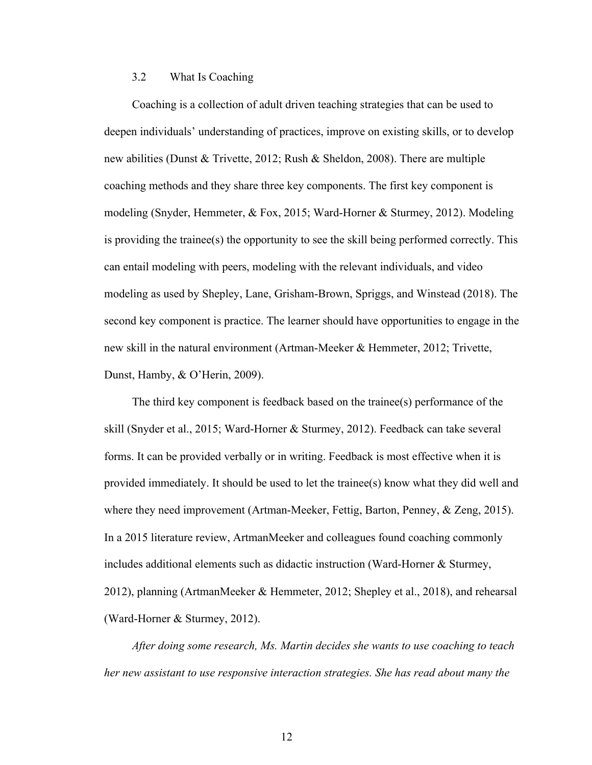## 3.2 What Is Coaching

Coaching is a collection of adult driven teaching strategies that can be used to deepen individuals' understanding of practices, improve on existing skills, or to develop new abilities (Dunst & Trivette, 2012; Rush & Sheldon, 2008). There are multiple coaching methods and they share three key components. The first key component is modeling (Snyder, Hemmeter, & Fox, 2015; Ward-Horner & Sturmey, 2012). Modeling is providing the trainee(s) the opportunity to see the skill being performed correctly. This can entail modeling with peers, modeling with the relevant individuals, and video modeling as used by Shepley, Lane, Grisham-Brown, Spriggs, and Winstead (2018). The second key component is practice. The learner should have opportunities to engage in the new skill in the natural environment (Artman-Meeker & Hemmeter, 2012; Trivette, Dunst, Hamby, & O'Herin, 2009).

The third key component is feedback based on the trainee(s) performance of the skill (Snyder et al., 2015; Ward-Horner & Sturmey, 2012). Feedback can take several forms. It can be provided verbally or in writing. Feedback is most effective when it is provided immediately. It should be used to let the trainee(s) know what they did well and where they need improvement (Artman-Meeker, Fettig, Barton, Penney, & Zeng, 2015). In a 2015 literature review, ArtmanMeeker and colleagues found coaching commonly includes additional elements such as didactic instruction (Ward-Horner & Sturmey, 2012), planning (ArtmanMeeker & Hemmeter, 2012; Shepley et al., 2018), and rehearsal (Ward-Horner & Sturmey, 2012).

*After doing some research, Ms. Martin decides she wants to use coaching to teach her new assistant to use responsive interaction strategies. She has read about many the*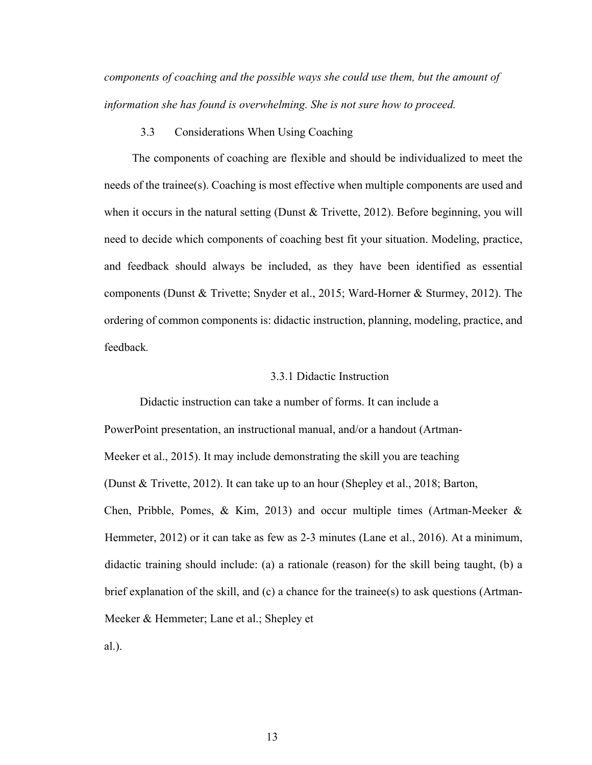*components of coaching and the possible ways she could use them, but the amount of information she has found is overwhelming. She is not sure how to proceed.*

## 3.3 Considerations When Using Coaching

The components of coaching are flexible and should be individualized to meet the needs of the trainee(s). Coaching is most effective when multiple components are used and when it occurs in the natural setting (Dunst & Trivette, 2012). Before beginning, you will need to decide which components of coaching best fit your situation. Modeling, practice, and feedback should always be included, as they have been identified as essential components (Dunst & Trivette; Snyder et al., 2015; Ward-Horner & Sturmey, 2012). The ordering of common components is: didactic instruction, planning, modeling, practice, and feedback*.*

## 3.3.1 Didactic Instruction

Didactic instruction can take a number of forms. It can include a PowerPoint presentation, an instructional manual, and/or a handout (Artman-Meeker et al., 2015). It may include demonstrating the skill you are teaching (Dunst & Trivette, 2012). It can take up to an hour (Shepley et al., 2018; Barton, Chen, Pribble, Pomes, & Kim, 2013) and occur multiple times (Artman-Meeker & Hemmeter, 2012) or it can take as few as 2-3 minutes (Lane et al., 2016). At a minimum, didactic training should include: (a) a rationale (reason) for the skill being taught, (b) a brief explanation of the skill, and (c) a chance for the trainee(s) to ask questions (Artman-Meeker & Hemmeter; Lane et al.; Shepley et

al.).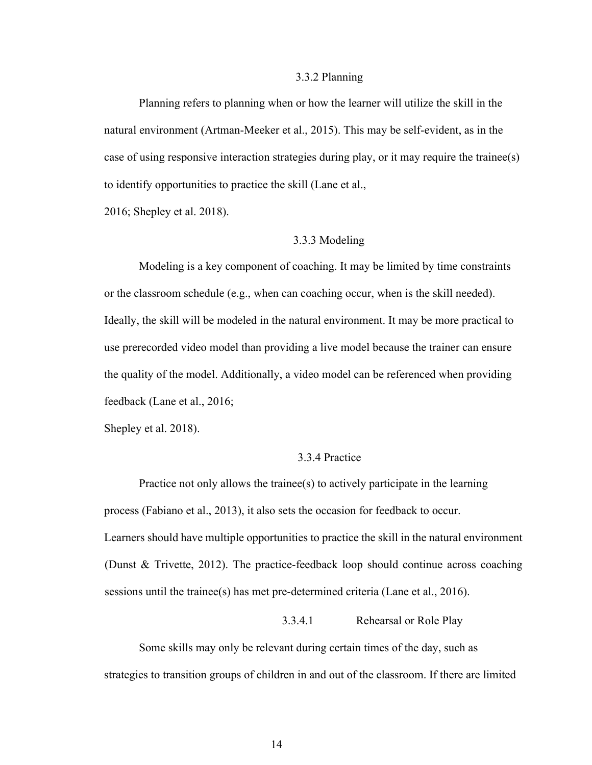## 3.3.2 Planning

Planning refers to planning when or how the learner will utilize the skill in the natural environment (Artman-Meeker et al., 2015). This may be self-evident, as in the case of using responsive interaction strategies during play, or it may require the trainee(s) to identify opportunities to practice the skill (Lane et al.,

2016; Shepley et al. 2018).

## 3.3.3 Modeling

Modeling is a key component of coaching. It may be limited by time constraints or the classroom schedule (e.g., when can coaching occur, when is the skill needed). Ideally, the skill will be modeled in the natural environment. It may be more practical to use prerecorded video model than providing a live model because the trainer can ensure the quality of the model. Additionally, a video model can be referenced when providing feedback (Lane et al., 2016;

Shepley et al. 2018).

## 3.3.4 Practice

Practice not only allows the trainee(s) to actively participate in the learning process (Fabiano et al., 2013), it also sets the occasion for feedback to occur. Learners should have multiple opportunities to practice the skill in the natural environment (Dunst & Trivette, 2012). The practice-feedback loop should continue across coaching sessions until the trainee(s) has met pre-determined criteria (Lane et al., 2016).

## 3.3.4.1 Rehearsal or Role Play

Some skills may only be relevant during certain times of the day, such as strategies to transition groups of children in and out of the classroom. If there are limited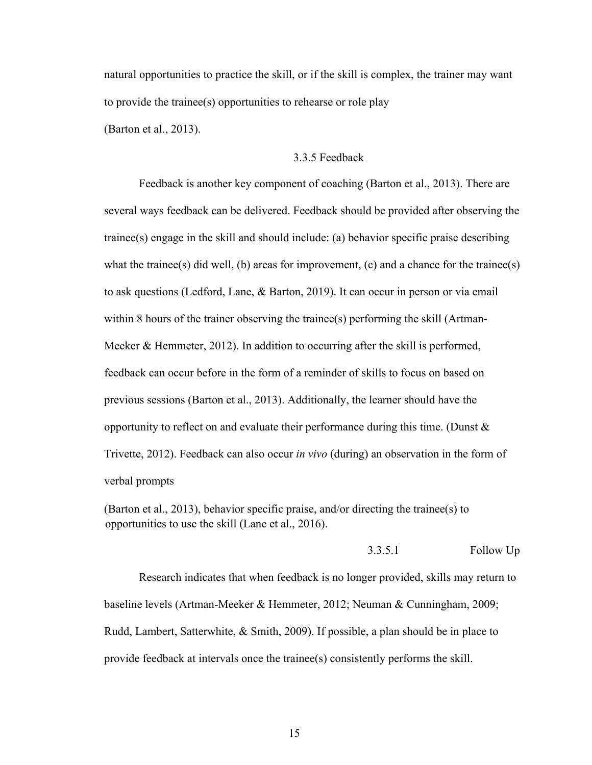natural opportunities to practice the skill, or if the skill is complex, the trainer may want to provide the trainee(s) opportunities to rehearse or role play (Barton et al., 2013).

## 3.3.5 Feedback

Feedback is another key component of coaching (Barton et al., 2013). There are several ways feedback can be delivered. Feedback should be provided after observing the trainee(s) engage in the skill and should include: (a) behavior specific praise describing what the trainee(s) did well, (b) areas for improvement, (c) and a chance for the trainee(s) to ask questions (Ledford, Lane, & Barton, 2019). It can occur in person or via email within 8 hours of the trainer observing the trainee(s) performing the skill (Artman-Meeker & Hemmeter, 2012). In addition to occurring after the skill is performed, feedback can occur before in the form of a reminder of skills to focus on based on previous sessions (Barton et al., 2013). Additionally, the learner should have the opportunity to reflect on and evaluate their performance during this time. (Dunst & Trivette, 2012). Feedback can also occur *in vivo* (during) an observation in the form of verbal prompts

(Barton et al., 2013), behavior specific praise, and/or directing the trainee(s) to opportunities to use the skill (Lane et al., 2016).

## 3.3.5.1 Follow Up

Research indicates that when feedback is no longer provided, skills may return to baseline levels (Artman-Meeker & Hemmeter, 2012; Neuman & Cunningham, 2009; Rudd, Lambert, Satterwhite, & Smith, 2009). If possible, a plan should be in place to provide feedback at intervals once the trainee(s) consistently performs the skill.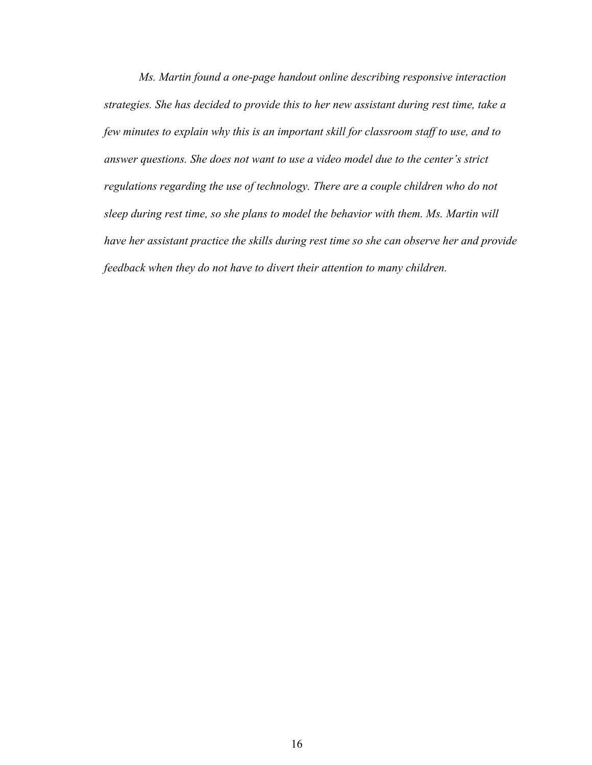*Ms. Martin found a one-page handout online describing responsive interaction strategies. She has decided to provide this to her new assistant during rest time, take a few minutes to explain why this is an important skill for classroom staff to use, and to answer questions. She does not want to use a video model due to the center's strict regulations regarding the use of technology. There are a couple children who do not sleep during rest time, so she plans to model the behavior with them. Ms. Martin will have her assistant practice the skills during rest time so she can observe her and provide feedback when they do not have to divert their attention to many children.*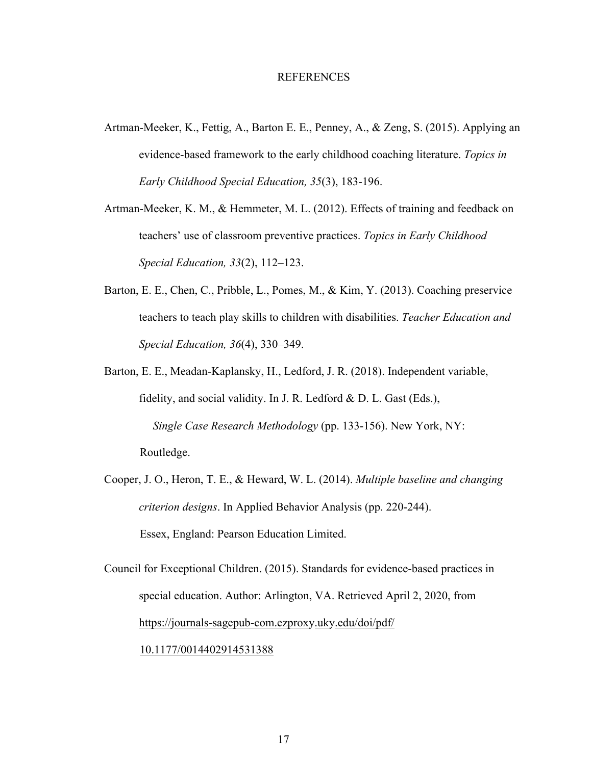#### **REFERENCES**

- Artman-Meeker, K., Fettig, A., Barton E. E., Penney, A., & Zeng, S. (2015). Applying an evidence-based framework to the early childhood coaching literature. *Topics in Early Childhood Special Education, 35*(3), 183-196.
- Artman-Meeker, K. M., & Hemmeter, M. L. (2012). Effects of training and feedback on teachers' use of classroom preventive practices. *Topics in Early Childhood Special Education, 33*(2), 112–123.
- Barton, E. E., Chen, C., Pribble, L., Pomes, M., & Kim, Y. (2013). Coaching preservice teachers to teach play skills to children with disabilities. *Teacher Education and Special Education, 36*(4), 330–349.
- Barton, E. E., Meadan-Kaplansky, H., Ledford, J. R. (2018). Independent variable, fidelity, and social validity. In J. R. Ledford & D. L. Gast (Eds.), *Single Case Research Methodology* (pp. 133-156). New York, NY: Routledge.
- Cooper, J. O., Heron, T. E., & Heward, W. L. (2014). *Multiple baseline and changing criterion designs*. In Applied Behavior Analysis (pp. 220-244). Essex, England: Pearson Education Limited.
- Council for Exceptional Children. (2015). Standards for evidence-based practices in special education. Author: Arlington, VA. Retrieved April 2, 2020, from https://journals-sagepub-com.ezproxy.uky.edu/doi/pdf/

## 10.1177/0014402914531388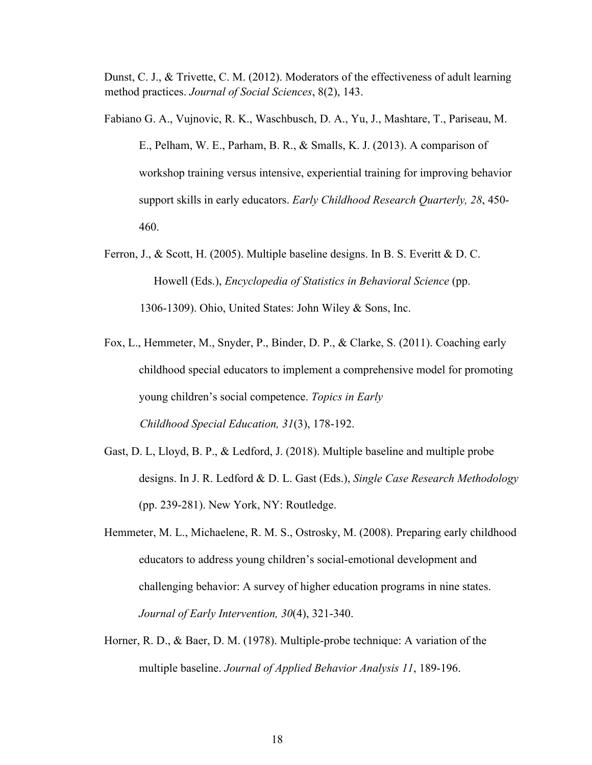Dunst, C. J., & Trivette, C. M. (2012). Moderators of the effectiveness of adult learning method practices. *Journal of Social Sciences*, 8(2), 143.

Fabiano G. A., Vujnovic, R. K., Waschbusch, D. A., Yu, J., Mashtare, T., Pariseau, M. E., Pelham, W. E., Parham, B. R., & Smalls, K. J. (2013). A comparison of workshop training versus intensive, experiential training for improving behavior support skills in early educators. *Early Childhood Research Quarterly, 28*, 450- 460.

- Ferron, J., & Scott, H. (2005). Multiple baseline designs. In B. S. Everitt & D. C. Howell (Eds.), *Encyclopedia of Statistics in Behavioral Science* (pp. 1306-1309). Ohio, United States: John Wiley & Sons, Inc.
- Fox, L., Hemmeter, M., Snyder, P., Binder, D. P., & Clarke, S. (2011). Coaching early childhood special educators to implement a comprehensive model for promoting young children's social competence. *Topics in Early Childhood Special Education, 31*(3), 178-192.
- Gast, D. L, Lloyd, B. P., & Ledford, J. (2018). Multiple baseline and multiple probe designs. In J. R. Ledford & D. L. Gast (Eds.), *Single Case Research Methodology* (pp. 239-281). New York, NY: Routledge.
- Hemmeter, M. L., Michaelene, R. M. S., Ostrosky, M. (2008). Preparing early childhood educators to address young children's social-emotional development and challenging behavior: A survey of higher education programs in nine states. *Journal of Early Intervention, 30*(4), 321-340.
- Horner, R. D., & Baer, D. M. (1978). Multiple-probe technique: A variation of the multiple baseline. *Journal of Applied Behavior Analysis 11*, 189-196.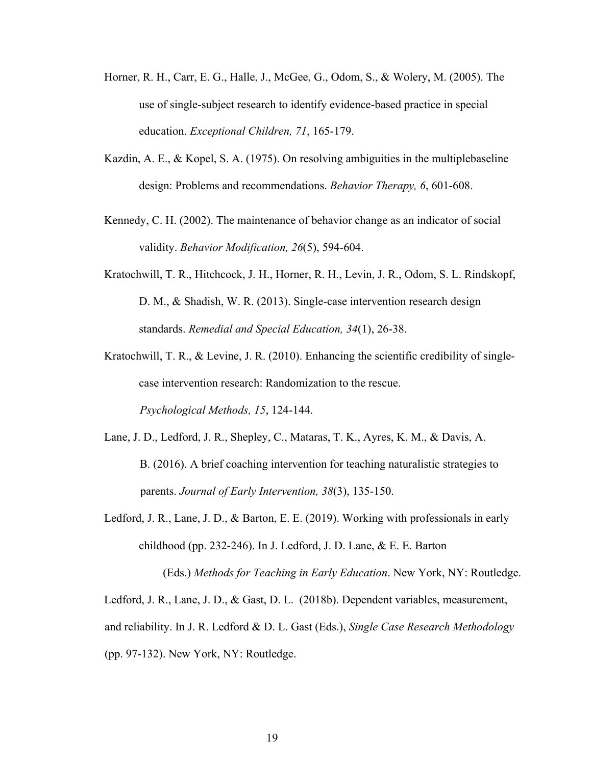- Horner, R. H., Carr, E. G., Halle, J., McGee, G., Odom, S., & Wolery, M. (2005). The use of single-subject research to identify evidence-based practice in special education. *Exceptional Children, 71*, 165-179.
- Kazdin, A. E., & Kopel, S. A. (1975). On resolving ambiguities in the multiplebaseline design: Problems and recommendations. *Behavior Therapy, 6*, 601-608.
- Kennedy, C. H. (2002). The maintenance of behavior change as an indicator of social validity. *Behavior Modification, 26*(5), 594-604.
- Kratochwill, T. R., Hitchcock, J. H., Horner, R. H., Levin, J. R., Odom, S. L. Rindskopf, D. M., & Shadish, W. R. (2013). Single-case intervention research design standards. *Remedial and Special Education, 34*(1), 26-38.
- Kratochwill, T. R., & Levine, J. R. (2010). Enhancing the scientific credibility of singlecase intervention research: Randomization to the rescue. *Psychological Methods, 15*, 124-144.
- Lane, J. D., Ledford, J. R., Shepley, C., Mataras, T. K., Ayres, K. M., & Davis, A. B. (2016). A brief coaching intervention for teaching naturalistic strategies to parents. *Journal of Early Intervention, 38*(3), 135-150.
- Ledford, J. R., Lane, J. D., & Barton, E. E. (2019). Working with professionals in early childhood (pp. 232-246). In J. Ledford, J. D. Lane, & E. E. Barton (Eds.) *Methods for Teaching in Early Education*. New York, NY: Routledge.

Ledford, J. R., Lane, J. D., & Gast, D. L. (2018b). Dependent variables, measurement, and reliability. In J. R. Ledford & D. L. Gast (Eds.), *Single Case Research Methodology* (pp. 97-132). New York, NY: Routledge.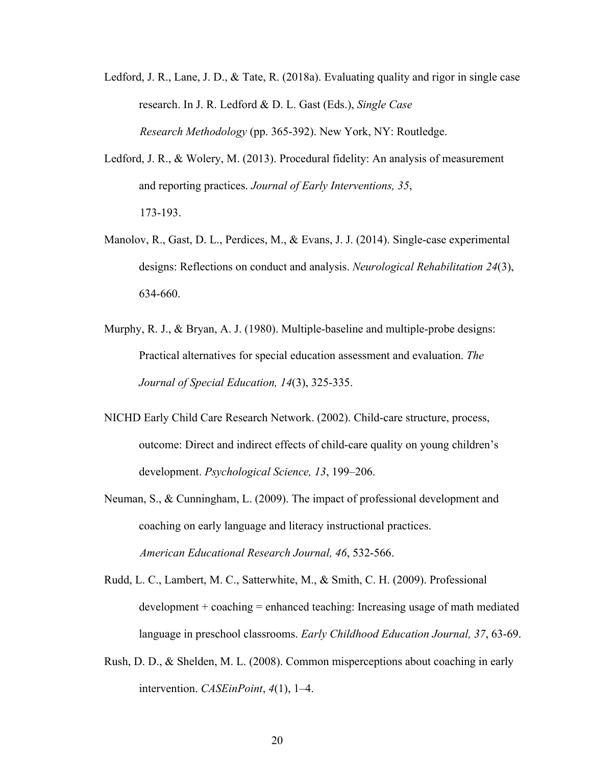- Ledford, J. R., Lane, J. D., & Tate, R. (2018a). Evaluating quality and rigor in single case research. In J. R. Ledford & D. L. Gast (Eds.), *Single Case Research Methodology* (pp. 365-392). New York, NY: Routledge.
- Ledford, J. R., & Wolery, M. (2013). Procedural fidelity: An analysis of measurement and reporting practices. *Journal of Early Interventions, 35*, 173-193.
- Manolov, R., Gast, D. L., Perdices, M., & Evans, J. J. (2014). Single-case experimental designs: Reflections on conduct and analysis. *Neurological Rehabilitation 24*(3), 634-660.
- Murphy, R. J., & Bryan, A. J. (1980). Multiple-baseline and multiple-probe designs: Practical alternatives for special education assessment and evaluation. *The Journal of Special Education, 14*(3), 325-335.
- NICHD Early Child Care Research Network. (2002). Child-care structure, process, outcome: Direct and indirect effects of child-care quality on young children's development. *Psychological Science, 13*, 199–206.
- Neuman, S., & Cunningham, L. (2009). The impact of professional development and coaching on early language and literacy instructional practices. *American Educational Research Journal, 46*, 532-566.
- Rudd, L. C., Lambert, M. C., Satterwhite, M., & Smith, C. H. (2009). Professional  $development + coaching = enhanced teaching: Increasing usage of math mediated$ language in preschool classrooms. *Early Childhood Education Journal, 37*, 63-69.
- Rush, D. D., & Shelden, M. L. (2008). Common misperceptions about coaching in early intervention. *CASEinPoint*, *4*(1), 1–4.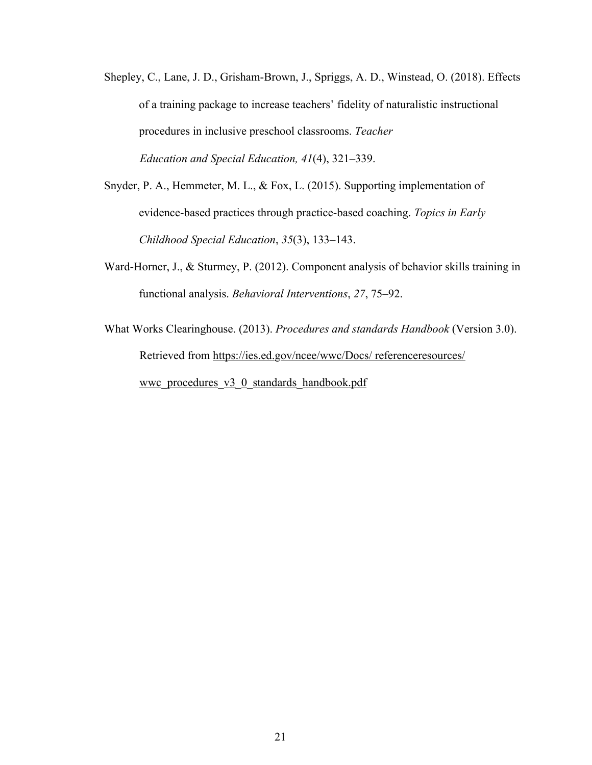- Shepley, C., Lane, J. D., Grisham-Brown, J., Spriggs, A. D., Winstead, O. (2018). Effects of a training package to increase teachers' fidelity of naturalistic instructional procedures in inclusive preschool classrooms. *Teacher Education and Special Education, 41*(4), 321–339.
- Snyder, P. A., Hemmeter, M. L., & Fox, L. (2015). Supporting implementation of evidence-based practices through practice-based coaching. *Topics in Early Childhood Special Education*, *35*(3), 133–143.
- Ward-Horner, J., & Sturmey, P. (2012). Component analysis of behavior skills training in functional analysis. *Behavioral Interventions*, *27*, 75–92.
- What Works Clearinghouse. (2013). *Procedures and standards Handbook* (Version 3.0). Retrieved from https://ies.ed.gov/ncee/wwc/Docs/ referenceresources/ wwc procedures  $v3$  0 standards handbook.pdf